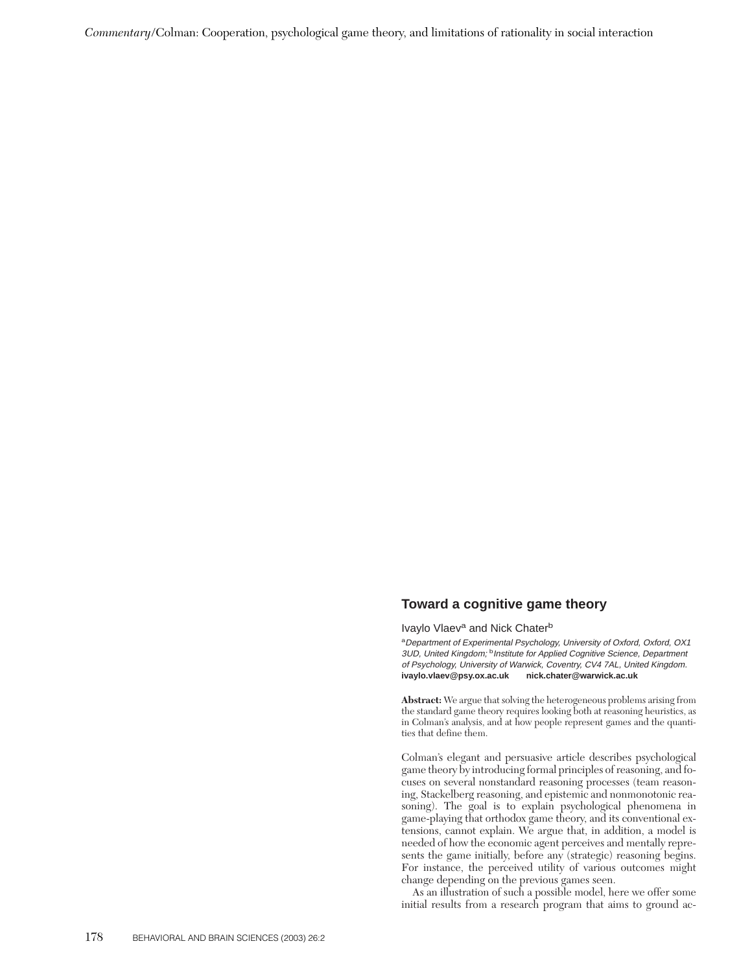*Commentary*/Colman: Cooperation, psychological game theory, and limitations of rationality in social interaction

## **Toward a cognitive game theory**

Ivaylo Vlaev<sup>a</sup> and Nick Chater<sup>b</sup>

<sup>a</sup>Department of Experimental Psychology, University of Oxford, Oxford, OX1 3UD, United Kingdom; <sup>b</sup>Institute for Applied Cognitive Science, Department of Psychology, University of Warwick, Coventry, CV4 7AL, United Kingdom. **ivaylo.vlaev@psy.ox.ac.uk nick.chater@warwick.ac.uk**

**Abstract:** We argue that solving the heterogeneous problems arising from the standard game theory requires looking both at reasoning heuristics, as in Colman's analysis, and at how people represent games and the quantities that define them.

Colman's elegant and persuasive article describes psychological game theory by introducing formal principles of reasoning, and focuses on several nonstandard reasoning processes (team reasoning, Stackelberg reasoning, and epistemic and nonmonotonic reasoning). The goal is to explain psychological phenomena in game-playing that orthodox game theory, and its conventional extensions, cannot explain. We argue that, in addition, a model is needed of how the economic agent perceives and mentally represents the game initially, before any (strategic) reasoning begins. For instance, the perceived utility of various outcomes might change depending on the previous games seen.

As an illustration of such a possible model, here we offer some initial results from a research program that aims to ground ac-